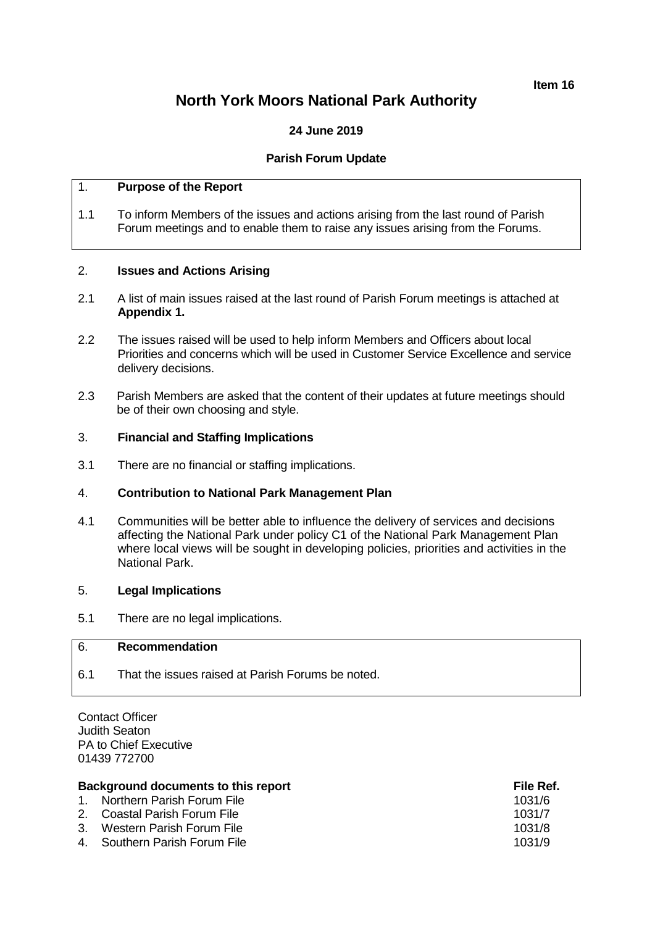#### **Item 16**

# **North York Moors National Park Authority**

# **24 June 2019**

# **Parish Forum Update**

# 1. **Purpose of the Report**

1.1 To inform Members of the issues and actions arising from the last round of Parish Forum meetings and to enable them to raise any issues arising from the Forums.

# 2. **Issues and Actions Arising**

- 2.1 A list of main issues raised at the last round of Parish Forum meetings is attached at **Appendix 1.**
- 2.2 The issues raised will be used to help inform Members and Officers about local Priorities and concerns which will be used in Customer Service Excellence and service delivery decisions.
- 2.3 Parish Members are asked that the content of their updates at future meetings should be of their own choosing and style.

## 3. **Financial and Staffing Implications**

3.1 There are no financial or staffing implications.

#### 4. **Contribution to National Park Management Plan**

4.1 Communities will be better able to influence the delivery of services and decisions affecting the National Park under policy C1 of the National Park Management Plan where local views will be sought in developing policies, priorities and activities in the National Park.

#### 5. **Legal Implications**

5.1 There are no legal implications.

## 6. **Recommendation**

6.1 That the issues raised at Parish Forums be noted.

Contact Officer Judith Seaton PA to Chief Executive 01439 772700

# **Background documents to this report File Ref.** And The Ref.

| $-$ average values we contributed to three reports |                               | .      |
|----------------------------------------------------|-------------------------------|--------|
|                                                    | 1. Northern Parish Forum File | 1031/6 |
|                                                    | 2. Coastal Parish Forum File  | 1031/7 |
|                                                    | 3. Western Parish Forum File  | 1031/8 |
|                                                    | 4. Southern Parish Forum File | 1031/9 |
|                                                    |                               |        |